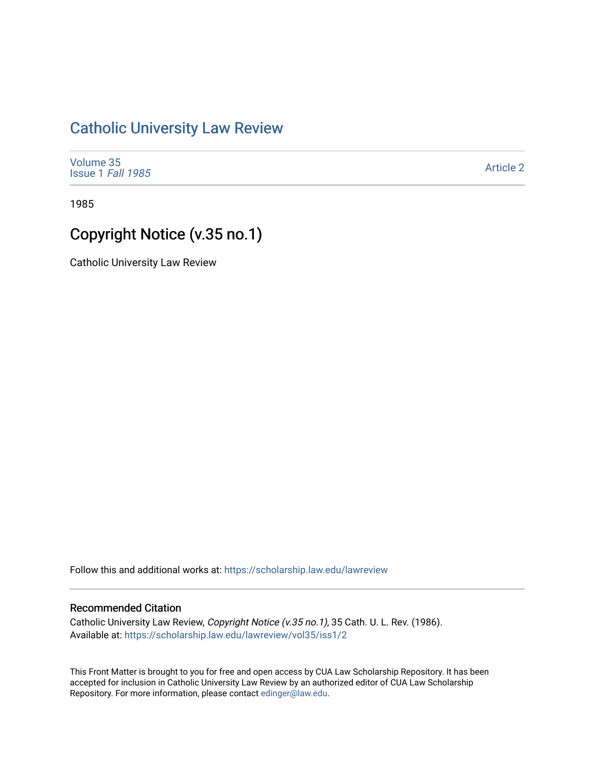## [Catholic University Law Review](https://scholarship.law.edu/lawreview)

| Volume 35                |  |
|--------------------------|--|
| <b>Issue 1 Fall 1985</b> |  |

[Article 2](https://scholarship.law.edu/lawreview/vol35/iss1/2) 

1985

# Copyright Notice (v.35 no.1)

Catholic University Law Review

Follow this and additional works at: [https://scholarship.law.edu/lawreview](https://scholarship.law.edu/lawreview?utm_source=scholarship.law.edu%2Flawreview%2Fvol35%2Fiss1%2F2&utm_medium=PDF&utm_campaign=PDFCoverPages)

#### Recommended Citation

Catholic University Law Review, Copyright Notice (v.35 no.1), 35 Cath. U. L. Rev. (1986). Available at: [https://scholarship.law.edu/lawreview/vol35/iss1/2](https://scholarship.law.edu/lawreview/vol35/iss1/2?utm_source=scholarship.law.edu%2Flawreview%2Fvol35%2Fiss1%2F2&utm_medium=PDF&utm_campaign=PDFCoverPages)

This Front Matter is brought to you for free and open access by CUA Law Scholarship Repository. It has been accepted for inclusion in Catholic University Law Review by an authorized editor of CUA Law Scholarship Repository. For more information, please contact [edinger@law.edu.](mailto:edinger@law.edu)